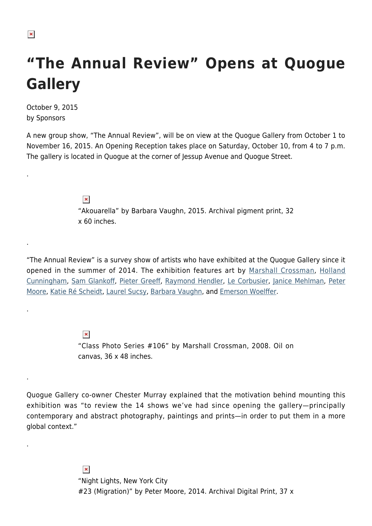## $\pmb{\times}$

.

.

.

.

.

## **"The Annual Review" Opens at Quogue Gallery**

October 9, 2015 by Sponsors

A new group show, "The Annual Review", will be on view at the Quogue Gallery from October 1 to November 16, 2015. An Opening Reception takes place on Saturday, October 10, from 4 to 7 p.m. The gallery is located in Quogue at the corner of Jessup Avenue and Quogue Street.

> $\pmb{\times}$ "Akouarella" by Barbara Vaughn, 2015. Archival pigment print, 32 x 60 inches.

"The Annual Review" is a survey show of artists who have exhibited at the Quogue Gallery since it opened in the summer of 2014. The exhibition features art by [Marshall Crossman](http://quoguegallery.us8.list-manage.com/track/click?u=1dd415386ea52b775239d8c35&id=6fee5313ce&e=a1818720a1), [Holland](http://quoguegallery.us8.list-manage1.com/track/click?u=1dd415386ea52b775239d8c35&id=ca7e6a1088&e=a1818720a1) [Cunningham,](http://quoguegallery.us8.list-manage1.com/track/click?u=1dd415386ea52b775239d8c35&id=ca7e6a1088&e=a1818720a1) [Sam Glankoff,](http://quoguegallery.us8.list-manage.com/track/click?u=1dd415386ea52b775239d8c35&id=5a57bd48e6&e=a1818720a1) [Pieter Greeff,](http://quoguegallery.us8.list-manage1.com/track/click?u=1dd415386ea52b775239d8c35&id=eb5d352e7f&e=a1818720a1) [Raymond Hendler,](http://quoguegallery.us8.list-manage.com/track/click?u=1dd415386ea52b775239d8c35&id=7fc6c4d80c&e=a1818720a1) [Le Corbusier,](http://quoguegallery.us8.list-manage.com/track/click?u=1dd415386ea52b775239d8c35&id=ac9031c739&e=a1818720a1) [Janice Mehlman](http://quoguegallery.us8.list-manage.com/track/click?u=1dd415386ea52b775239d8c35&id=446bbd39cb&e=a1818720a1), [Peter](http://quoguegallery.us8.list-manage.com/track/click?u=1dd415386ea52b775239d8c35&id=a8b48eda94&e=a1818720a1) [Moore](http://quoguegallery.us8.list-manage.com/track/click?u=1dd415386ea52b775239d8c35&id=a8b48eda94&e=a1818720a1), [Katie Ré Scheidt,](http://quoguegallery.us8.list-manage.com/track/click?u=1dd415386ea52b775239d8c35&id=af48ed9a27&e=a1818720a1) [Laurel Sucsy,](http://quoguegallery.us8.list-manage2.com/track/click?u=1dd415386ea52b775239d8c35&id=dcc3892735&e=a1818720a1) [Barbara Vaughn](http://quoguegallery.us8.list-manage.com/track/click?u=1dd415386ea52b775239d8c35&id=a750b5c694&e=a1818720a1), and [Emerson Woelffer](http://quoguegallery.us8.list-manage.com/track/click?u=1dd415386ea52b775239d8c35&id=fde5b1255b&e=a1818720a1).

> $\pmb{\times}$ "Class Photo Series #106" by Marshall Crossman, 2008. Oil on canvas, 36 x 48 inches.

Quogue Gallery co-owner Chester Murray explained that the motivation behind mounting this exhibition was "to review the 14 shows we've had since opening the gallery—principally contemporary and abstract photography, paintings and prints—in order to put them in a more global context."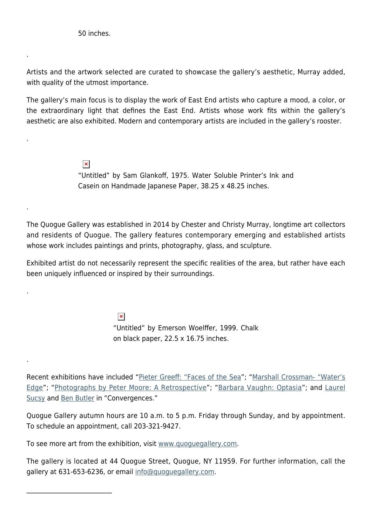50 inches.

.

.

.

.

.

 $\mathcal{L}_\text{max}$  and  $\mathcal{L}_\text{max}$  and  $\mathcal{L}_\text{max}$ 

Artists and the artwork selected are curated to showcase the gallery's aesthetic, Murray added, with quality of the utmost importance.

The gallery's main focus is to display the work of East End artists who capture a mood, a color, or the extraordinary light that defines the East End. Artists whose work fits within the gallery's aesthetic are also exhibited. Modern and contemporary artists are included in the gallery's rooster.

> $\pmb{\times}$ "Untitled" by Sam Glankoff, 1975. Water Soluble Printer's Ink and Casein on Handmade Japanese Paper, 38.25 x 48.25 inches.

The Quogue Gallery was established in 2014 by Chester and Christy Murray, longtime art collectors and residents of Quogue. The gallery features contemporary emerging and established artists whose work includes paintings and prints, photography, glass, and sculpture.

Exhibited artist do not necessarily represent the specific realities of the area, but rather have each been uniquely influenced or inspired by their surroundings.

> $\pmb{\times}$ "Untitled" by Emerson Woelffer, 1999. Chalk on black paper, 22.5 x 16.75 inches.

Recent exhibitions have included ["Pieter Greeff: "Faces of the Sea"](http://www.quoguegallery.com/artists/Pieter_Greeff/34305/children-s-corner-2001/447434/); "[Marshall Crossman- "Water's](http://www.quoguegallery.com/artists/Marshall_Crossman/9274/class-photo-series-106-2008/442516/) [Edge"](http://www.quoguegallery.com/artists/Marshall_Crossman/9274/class-photo-series-106-2008/442516/); ["Photographs by Peter Moore: A Retrospective"](https://hamptonsarthub.com/2015/07/21/photographs-by-peter-b-moore-a-retrospective-at-quogue-gallery/); ["Barbara Vaughn: Optasia](https://hamptonsarthub.com/2015/07/10/liquid-color-in-two-shows-at-quogue-gallery/)"; and [Laurel](http://www.quoguegallery.com/artists/Laurel__Sucsy/10176/macula-7-2014-1-5-2-aps/380265/) [Sucsy](http://www.quoguegallery.com/artists/Laurel__Sucsy/10176/macula-7-2014-1-5-2-aps/380265/) and [Ben Butler](http://www.quoguegallery.com/artists/Ben__Butler/10177/hearth-2005/443418/) in "Convergences."

Quogue Gallery autumn hours are 10 a.m. to 5 p.m. Friday through Sunday, and by appointment. To schedule an appointment, call 203-321-9427.

To see more art from the exhibition, visit [www.quoguegallery.com](http://www.quoguegallery.com).

The gallery is located at 44 Quogue Street, Quogue, NY 11959. For further information, call the gallery at 631-653-6236, or email [info@quoguegallery.com](mailto:info@quoguegallery.com).